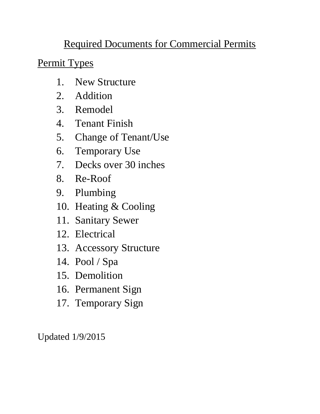# Required Documents for Commercial Permits

Permit Types

- 1. New Structure
- 2. Addition
- 3. Remodel
- 4. Tenant Finish
- 5. Change of Tenant/Use
- 6. Temporary Use
- 7. Decks over 30 inches
- 8. Re-Roof
- 9. Plumbing
- 10. Heating & Cooling
- 11. Sanitary Sewer
- 12. Electrical
- 13. Accessory Structure
- 14. Pool / Spa
- 15. Demolition
- 16. Permanent Sign
- 17. Temporary Sign

Updated 1/9/2015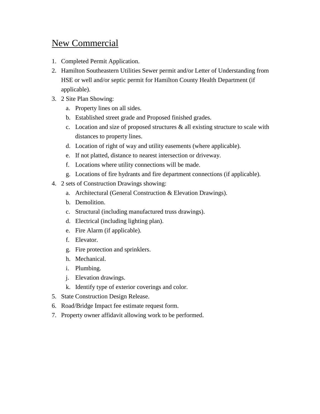### New Commercial

- 1. Completed Permit Application.
- 2. Hamilton Southeastern Utilities Sewer permit and/or Letter of Understanding from HSE or well and/or septic permit for Hamilton County Health Department (if applicable).
- 3. 2 Site Plan Showing:
	- a. Property lines on all sides.
	- b. Established street grade and Proposed finished grades.
	- c. Location and size of proposed structures & all existing structure to scale with distances to property lines.
	- d. Location of right of way and utility easements (where applicable).
	- e. If not platted, distance to nearest intersection or driveway.
	- f. Locations where utility connections will be made.
	- g. Locations of fire hydrants and fire department connections (if applicable).
- 4. 2 sets of Construction Drawings showing:
	- a. Architectural (General Construction & Elevation Drawings).
	- b. Demolition.
	- c. Structural (including manufactured truss drawings).
	- d. Electrical (including lighting plan).
	- e. Fire Alarm (if applicable).
	- f. Elevator.
	- g. Fire protection and sprinklers.
	- h. Mechanical.
	- i. Plumbing.
	- j. Elevation drawings.
	- k. Identify type of exterior coverings and color.
- 5. State Construction Design Release.
- 6. Road/Bridge Impact fee estimate request form.
- 7. Property owner affidavit allowing work to be performed.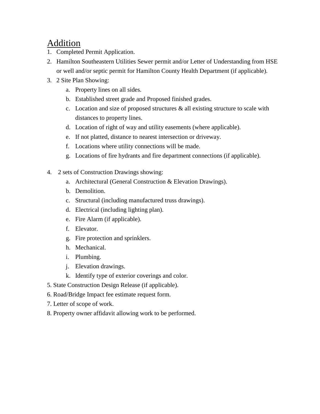#### Addition

- 1. Completed Permit Application.
- 2. Hamilton Southeastern Utilities Sewer permit and/or Letter of Understanding from HSE or well and/or septic permit for Hamilton County Health Department (if applicable).
- 3. 2 Site Plan Showing:
	- a. Property lines on all sides.
	- b. Established street grade and Proposed finished grades.
	- c. Location and size of proposed structures & all existing structure to scale with distances to property lines.
	- d. Location of right of way and utility easements (where applicable).
	- e. If not platted, distance to nearest intersection or driveway.
	- f. Locations where utility connections will be made.
	- g. Locations of fire hydrants and fire department connections (if applicable).
- 4. 2 sets of Construction Drawings showing:
	- a. Architectural (General Construction & Elevation Drawings).
	- b. Demolition.
	- c. Structural (including manufactured truss drawings).
	- d. Electrical (including lighting plan).
	- e. Fire Alarm (if applicable).
	- f. Elevator.
	- g. Fire protection and sprinklers.
	- h. Mechanical.
	- i. Plumbing.
	- j. Elevation drawings.
	- k. Identify type of exterior coverings and color.
- 5. State Construction Design Release (if applicable).
- 6. Road/Bridge Impact fee estimate request form.
- 7. Letter of scope of work.
- 8. Property owner affidavit allowing work to be performed.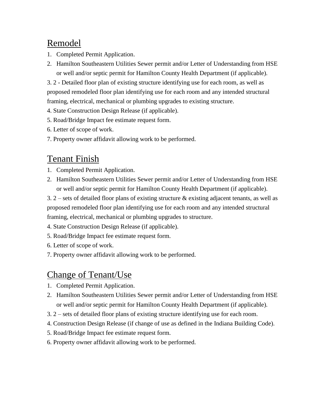### Remodel

- 1. Completed Permit Application.
- 2. Hamilton Southeastern Utilities Sewer permit and/or Letter of Understanding from HSE or well and/or septic permit for Hamilton County Health Department (if applicable).

3. 2 - Detailed floor plan of existing structure identifying use for each room, as well as proposed remodeled floor plan identifying use for each room and any intended structural framing, electrical, mechanical or plumbing upgrades to existing structure.

4. State Construction Design Release (if applicable).

- 5. Road/Bridge Impact fee estimate request form.
- 6. Letter of scope of work.
- 7. Property owner affidavit allowing work to be performed.

#### Tenant Finish

- 1. Completed Permit Application.
- 2. Hamilton Southeastern Utilities Sewer permit and/or Letter of Understanding from HSE or well and/or septic permit for Hamilton County Health Department (if applicable).

3. 2 – sets of detailed floor plans of existing structure  $\&$  existing adjacent tenants, as well as proposed remodeled floor plan identifying use for each room and any intended structural framing, electrical, mechanical or plumbing upgrades to structure.

4. State Construction Design Release (if applicable).

- 5. Road/Bridge Impact fee estimate request form.
- 6. Letter of scope of work.
- 7. Property owner affidavit allowing work to be performed.

### Change of Tenant/Use

- 1. Completed Permit Application.
- 2. Hamilton Southeastern Utilities Sewer permit and/or Letter of Understanding from HSE or well and/or septic permit for Hamilton County Health Department (if applicable).
- 3. 2 sets of detailed floor plans of existing structure identifying use for each room.
- 4. Construction Design Release (if change of use as defined in the Indiana Building Code).
- 5. Road/Bridge Impact fee estimate request form.
- 6. Property owner affidavit allowing work to be performed.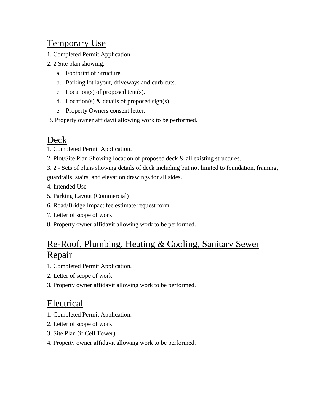### Temporary Use

- 1. Completed Permit Application.
- 2. 2 Site plan showing:
	- a. Footprint of Structure.
	- b. Parking lot layout, driveways and curb cuts.
	- c. Location(s) of proposed tent(s).
	- d. Location(s)  $&$  details of proposed sign(s).
	- e. Property Owners consent letter.
- 3. Property owner affidavit allowing work to be performed.

#### Deck

- 1. Completed Permit Application.
- 2. Plot/Site Plan Showing location of proposed deck & all existing structures.
- 3. 2 Sets of plans showing details of deck including but not limited to foundation, framing, guardrails, stairs, and elevation drawings for all sides.
- 4. Intended Use
- 5. Parking Layout (Commercial)
- 6. Road/Bridge Impact fee estimate request form.
- 7. Letter of scope of work.
- 8. Property owner affidavit allowing work to be performed.

### Re-Roof, Plumbing, Heating & Cooling, Sanitary Sewer Repair

- 1. Completed Permit Application.
- 2. Letter of scope of work.
- 3. Property owner affidavit allowing work to be performed.

#### Electrical

- 1. Completed Permit Application.
- 2. Letter of scope of work.
- 3. Site Plan (if Cell Tower).
- 4. Property owner affidavit allowing work to be performed.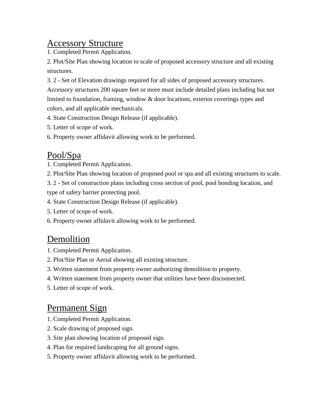#### Accessory Structure

1. Completed Permit Application.

2. Plot/Site Plan showing location to scale of proposed accessory structure and all existing structures.

3. 2 - Set of Elevation drawings required for all sides of proposed accessory structures. Accessory structures 200 square feet or more must include detailed plans including but not limited to foundation, framing, window & door locations, exterior coverings types and colors, and all applicable mechanicals.

- 4. State Construction Design Release (if applicable).
- 5. Letter of scope of work.
- 6. Property owner affidavit allowing work to be performed.

#### Pool/Spa

- 1. Completed Permit Application.
- 2. Plot/Site Plan showing location of proposed pool or spa and all existing structures to scale.

3. 2 - Set of construction plans including cross section of pool, pool bonding location, and type of safety barrier protecting pool.

- 4. State Construction Design Release (if applicable).
- 5. Letter of scope of work.
- 6. Property owner affidavit allowing work to be performed.

#### Demolition

- 1. Completed Permit Application.
- 2. Plot/Site Plan or Aerial showing all existing structure.
- 3. Written statement from property owner authorizing demolition to property.
- 4. Written statement from property owner that utilities have been disconnected.
- 5. Letter of scope of work.

#### Permanent Sign

- 1. Completed Permit Application.
- 2. Scale drawing of proposed sign.
- 3. Site plan showing location of proposed sign.
- 4. Plan for required landscaping for all ground signs.
- 5. Property owner affidavit allowing work to be performed.